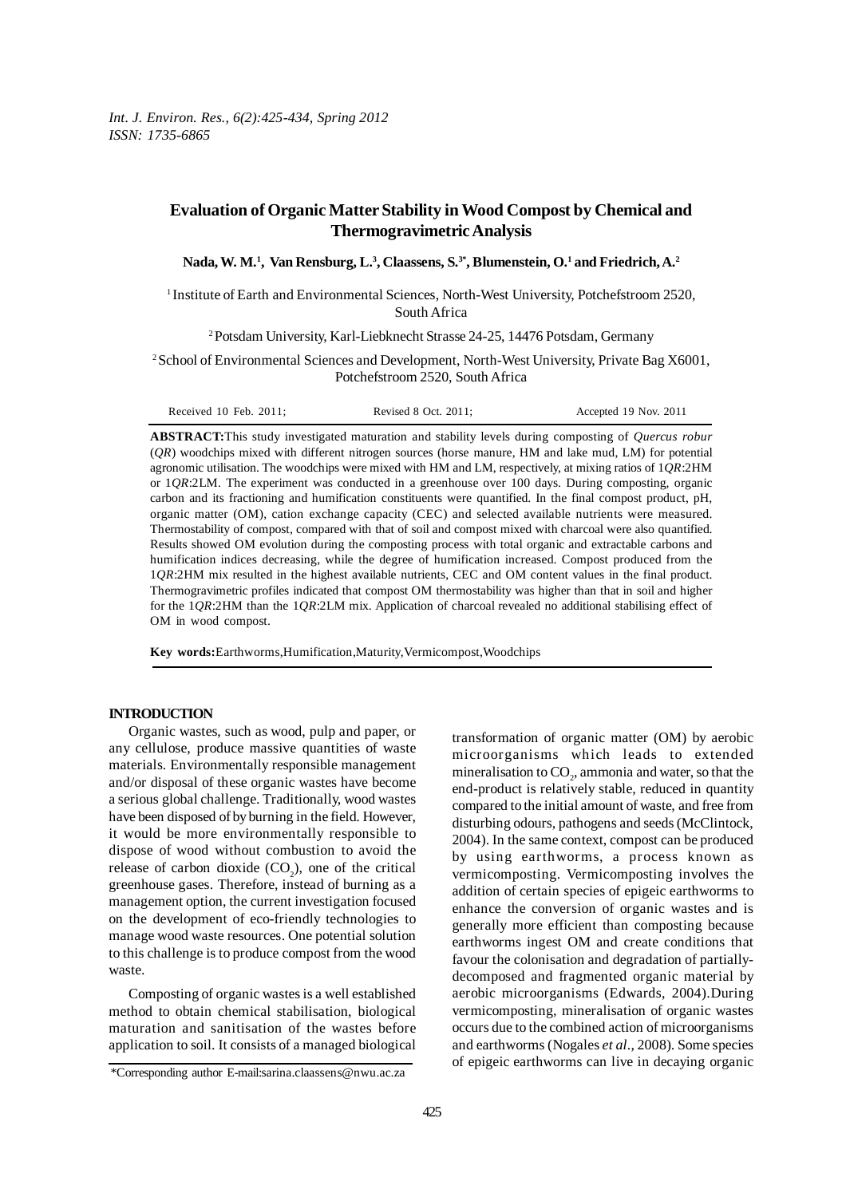# **Evaluation of Organic Matter Stability in Wood Compost by Chemical and Thermogravimetric Analysis**

**Nada, W. M.1 , Van Rensburg, L.3 , Claassens, S.3\*, Blumenstein, O.1 and Friedrich, A.2**

1 Institute of Earth and Environmental Sciences, North-West University, Potchefstroom 2520, South Africa

2 Potsdam University, Karl-Liebknecht Strasse 24-25, 14476 Potsdam, Germany

2 School of Environmental Sciences and Development, North-West University, Private Bag X6001, Potchefstroom 2520, South Africa

| Received 10 Feb. 2011: | Revised 8 Oct. 2011: | Accepted 19 Nov. 2011 |
|------------------------|----------------------|-----------------------|
|------------------------|----------------------|-----------------------|

**ABSTRACT:**This study investigated maturation and stability levels during composting of *Quercus robur* (*QR*) woodchips mixed with different nitrogen sources (horse manure, HM and lake mud, LM) for potential agronomic utilisation. The woodchips were mixed with HM and LM, respectively, at mixing ratios of 1*QR*:2HM or 1*QR*:2LM. The experiment was conducted in a greenhouse over 100 days. During composting, organic carbon and its fractioning and humification constituents were quantified. In the final compost product, pH, organic matter (OM), cation exchange capacity (CEC) and selected available nutrients were measured. Thermostability of compost, compared with that of soil and compost mixed with charcoal were also quantified. Results showed OM evolution during the composting process with total organic and extractable carbons and humification indices decreasing, while the degree of humification increased. Compost produced from the 1*QR*:2HM mix resulted in the highest available nutrients, CEC and OM content values in the final product. Thermogravimetric profiles indicated that compost OM thermostability was higher than that in soil and higher for the 1*QR*:2HM than the 1*QR*:2LM mix. Application of charcoal revealed no additional stabilising effect of OM in wood compost.

**Key words:**Earthworms,Humification,Maturity,Vermicompost,Woodchips

#### **INTRODUCTION**

Organic wastes, such as wood, pulp and paper, or any cellulose, produce massive quantities of waste materials. Environmentally responsible management and/or disposal of these organic wastes have become a serious global challenge. Traditionally, wood wastes have been disposed of by burning in the field. However, it would be more environmentally responsible to dispose of wood without combustion to avoid the release of carbon dioxide  $(CO_2)$ , one of the critical greenhouse gases. Therefore, instead of burning as a management option, the current investigation focused on the development of eco-friendly technologies to manage wood waste resources. One potential solution to this challenge is to produce compost from the wood waste.

Composting of organic wastes is a well established method to obtain chemical stabilisation, biological maturation and sanitisation of the wastes before application to soil. It consists of a managed biological transformation of organic matter (OM) by aerobic microorganisms which leads to extended mineralisation to  $\mathrm{CO}_2$ , ammonia and water, so that the end-product is relatively stable, reduced in quantity compared to the initial amount of waste, and free from disturbing odours, pathogens and seeds (McClintock, 2004). In the same context, compost can be produced by using earthworms, a process known as vermicomposting. Vermicomposting involves the addition of certain species of epigeic earthworms to enhance the conversion of organic wastes and is generally more efficient than composting because earthworms ingest OM and create conditions that favour the colonisation and degradation of partiallydecomposed and fragmented organic material by aerobic microorganisms (Edwards, 2004).During vermicomposting, mineralisation of organic wastes occurs due to the combined action of microorganisms and earthworms (Nogales *et al*., 2008). Some species of epigeic earthworms can live in decaying organic

<sup>\*</sup>Corresponding author E-mail:sarina.claassens@nwu.ac.za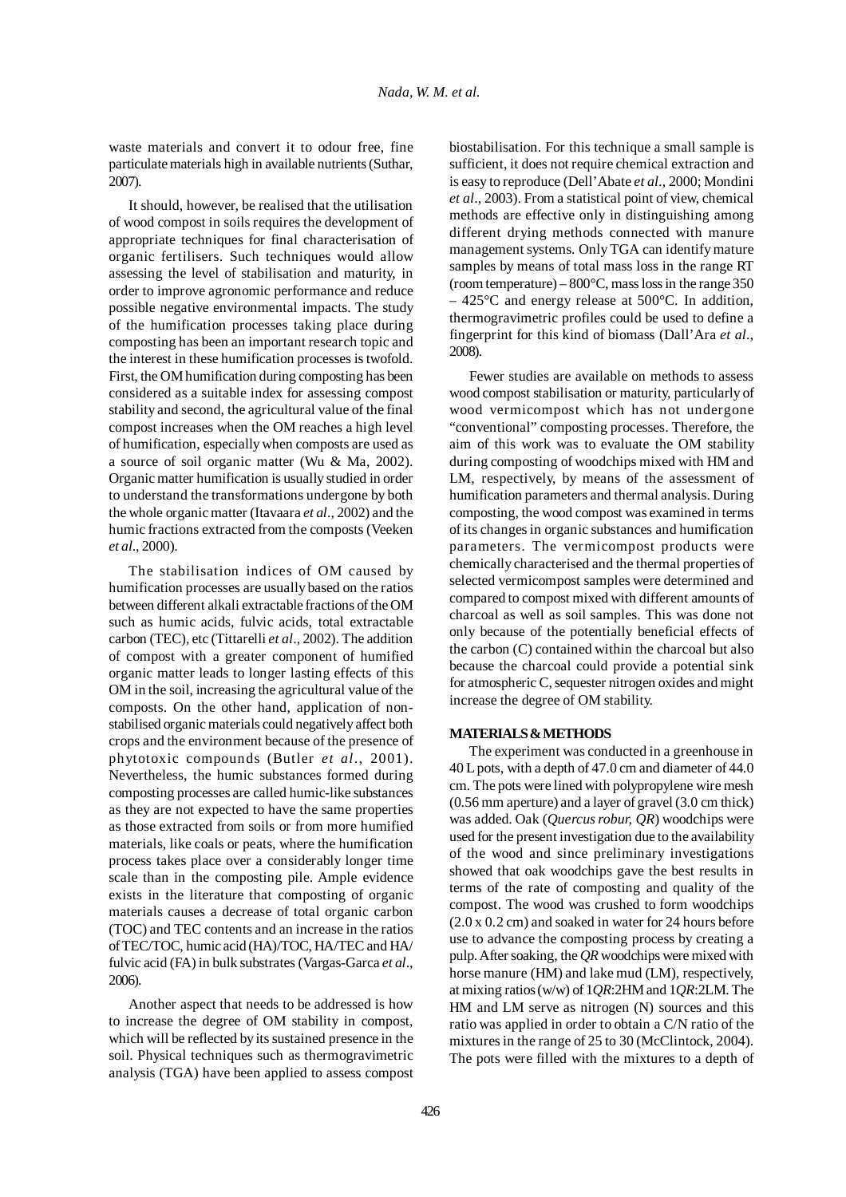waste materials and convert it to odour free, fine particulate materials high in available nutrients (Suthar, 2007).

It should, however, be realised that the utilisation of wood compost in soils requires the development of appropriate techniques for final characterisation of organic fertilisers. Such techniques would allow assessing the level of stabilisation and maturity, in order to improve agronomic performance and reduce possible negative environmental impacts. The study of the humification processes taking place during composting has been an important research topic and the interest in these humification processes is twofold. First, the OM humification during composting has been considered as a suitable index for assessing compost stability and second, the agricultural value of the final compost increases when the OM reaches a high level of humification, especially when composts are used as a source of soil organic matter (Wu & Ma, 2002). Organic matter humification is usually studied in order to understand the transformations undergone by both the whole organic matter (Itavaara *et al*., 2002) and the humic fractions extracted from the composts (Veeken *et al*., 2000).

The stabilisation indices of OM caused by humification processes are usually based on the ratios between different alkali extractable fractions of the OM such as humic acids, fulvic acids, total extractable carbon (TEC), etc (Tittarelli *et al*., 2002). The addition of compost with a greater component of humified organic matter leads to longer lasting effects of this OM in the soil, increasing the agricultural value of the composts. On the other hand, application of nonstabilised organic materials could negatively affect both crops and the environment because of the presence of phytotoxic compounds (Butler *et al*., 2001). Nevertheless, the humic substances formed during composting processes are called humic-like substances as they are not expected to have the same properties as those extracted from soils or from more humified materials, like coals or peats, where the humification process takes place over a considerably longer time scale than in the composting pile. Ample evidence exists in the literature that composting of organic materials causes a decrease of total organic carbon (TOC) and TEC contents and an increase in the ratios of TEC/TOC, humic acid (HA)/TOC, HA/TEC and HA/ fulvic acid (FA) in bulk substrates (Vargas-Garca *et al*., 2006).

Another aspect that needs to be addressed is how to increase the degree of OM stability in compost, which will be reflected by its sustained presence in the soil. Physical techniques such as thermogravimetric analysis (TGA) have been applied to assess compost biostabilisation. For this technique a small sample is sufficient, it does not require chemical extraction and is easy to reproduce (Dell'Abate *et al*., 2000; Mondini *et al*., 2003). From a statistical point of view, chemical methods are effective only in distinguishing among different drying methods connected with manure management systems. Only TGA can identify mature samples by means of total mass loss in the range RT (room temperature) –  $800^{\circ}$ C, mass loss in the range 350 – 425°C and energy release at 500°C. In addition, thermogravimetric profiles could be used to define a fingerprint for this kind of biomass (Dall'Ara *et al*., 2008).

Fewer studies are available on methods to assess wood compost stabilisation or maturity, particularly of wood vermicompost which has not undergone "conventional" composting processes. Therefore, the aim of this work was to evaluate the OM stability during composting of woodchips mixed with HM and LM, respectively, by means of the assessment of humification parameters and thermal analysis. During composting, the wood compost was examined in terms of its changes in organic substances and humification parameters. The vermicompost products were chemically characterised and the thermal properties of selected vermicompost samples were determined and compared to compost mixed with different amounts of charcoal as well as soil samples. This was done not only because of the potentially beneficial effects of the carbon (C) contained within the charcoal but also because the charcoal could provide a potential sink for atmospheric C, sequester nitrogen oxides and might increase the degree of OM stability.

# **MATERIALS & METHODS**

The experiment was conducted in a greenhouse in 40 L pots, with a depth of 47.0 cm and diameter of 44.0 cm. The pots were lined with polypropylene wire mesh (0.56 mm aperture) and a layer of gravel (3.0 cm thick) was added. Oak (*Quercus robur, QR*) woodchips were used for the present investigation due to the availability of the wood and since preliminary investigations showed that oak woodchips gave the best results in terms of the rate of composting and quality of the compost. The wood was crushed to form woodchips (2.0 x 0.2 cm) and soaked in water for 24 hours before use to advance the composting process by creating a pulp. After soaking, the *QR* woodchips were mixed with horse manure (HM) and lake mud (LM), respectively, at mixing ratios (w/w) of 1*QR*:2HM and 1*QR*:2LM. The HM and LM serve as nitrogen (N) sources and this ratio was applied in order to obtain a C/N ratio of the mixtures in the range of 25 to 30 (McClintock, 2004). The pots were filled with the mixtures to a depth of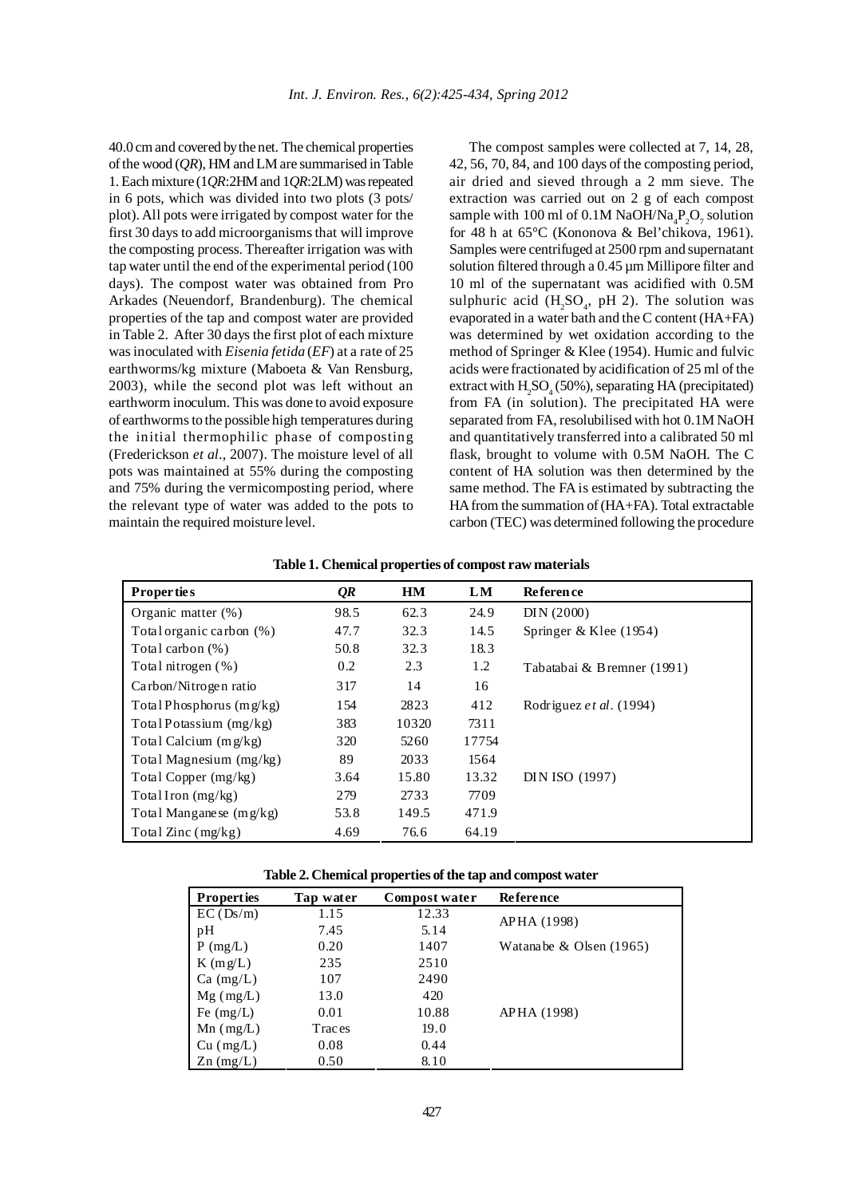40.0 cm and covered by the net. The chemical properties of the wood (*QR*), HM and LM are summarised in Table 1. Each mixture (1*QR*:2HM and 1*QR*:2LM) was repeated in 6 pots, which was divided into two plots (3 pots/ plot). All pots were irrigated by compost water for the first 30 days to add microorganisms that will improve the composting process. Thereafter irrigation was with tap water until the end of the experimental period (100 days). The compost water was obtained from Pro Arkades (Neuendorf, Brandenburg). The chemical properties of the tap and compost water are provided in Table 2. After 30 days the first plot of each mixture was inoculated with *Eisenia fetida* (*EF*) at a rate of 25 earthworms/kg mixture (Maboeta & Van Rensburg, 2003), while the second plot was left without an earthworm inoculum. This was done to avoid exposure of earthworms to the possible high temperatures during the initial thermophilic phase of composting (Frederickson *et al*., 2007). The moisture level of all pots was maintained at 55% during the composting and 75% during the vermicomposting period, where the relevant type of water was added to the pots to maintain the required moisture level.

The compost samples were collected at 7, 14, 28, 42, 56, 70, 84, and 100 days of the composting period, air dried and sieved through a 2 mm sieve. The extraction was carried out on 2 g of each compost sample with 100 ml of 0.1M NaOH/Na<sub>4</sub>P<sub>2</sub>O<sub>7</sub> solution for 48 h at 65°C (Kononova & Bel'chikova, 1961). Samples were centrifuged at 2500 rpm and supernatant solution filtered through a 0.45 µm Millipore filter and 10 ml of the supernatant was acidified with 0.5M sulphuric acid  $(H_2SO_4, pH 2)$ . The solution was evaporated in a water bath and the C content (HA+FA) was determined by wet oxidation according to the method of Springer & Klee (1954). Humic and fulvic acids were fractionated by acidification of 25 ml of the extract with  $H_2SO_4(50\%)$ , separating HA (precipitated) from FA (in solution). The precipitated HA were separated from FA, resolubilised with hot 0.1M NaOH and quantitatively transferred into a calibrated 50 ml flask, brought to volume with 0.5M NaOH. The C content of HA solution was then determined by the same method. The FA is estimated by subtracting the HA from the summation of (HA+FA). Total extractable carbon (TEC) was determined following the procedure

| <b>Properties</b>          | QR   | <b>HM</b> | LM    | <b>Reference</b>           |
|----------------------------|------|-----------|-------|----------------------------|
| Organic matter $(\%)$      | 98.5 | 62.3      | 24.9  | DIN(2000)                  |
| Total organic carbon (%)   | 47.7 | 32.3      | 14.5  | Springer & Klee $(1954)$   |
| Total carbon (%)           | 50.8 | 32.3      | 18.3  |                            |
| Total nitrogen $(\%)$      | 0.2  | 2.3       | 1.2   | Tabatabai & Bremner (1991) |
| Carbon/Nitrogen ratio      | 317  | 14        | 16    |                            |
| Total Phosphorus $(mg/kg)$ | 154  | 2823      | 412   | Rodriguez et al. (1994)    |
| Total Potassium $(mg/kg)$  | 383  | 10320     | 7311  |                            |
| Total Calcium $(mg/kg)$    | 320  | 5260      | 17754 |                            |
| Total Magnesium (mg/kg)    | 89   | 2033      | 1564  |                            |
| Total Copper (mg/kg)       | 3.64 | 15.80     | 13.32 | DIN ISO (1997)             |
| Total Iron $(mg/kg)$       | 279  | 2733      | 7709  |                            |
| Total Mangane se $(mg/kg)$ | 53.8 | 149.5     | 471.9 |                            |
| Total Zinc $(mg/kg)$       | 4.69 | 76.6      | 64.19 |                            |

**Table 1. Chemical properties of compost raw materials**

|  |  |  |  | Table 2. Chemical properties of the tap and compost water |  |  |  |
|--|--|--|--|-----------------------------------------------------------|--|--|--|
|--|--|--|--|-----------------------------------------------------------|--|--|--|

| <b>Properties</b> | Tap water | Compost water | <b>Reference</b>            |
|-------------------|-----------|---------------|-----------------------------|
| EC(Ds/m)          | 1.15      | 12.33         | APHA (1998)                 |
| pH                | 7.45      | 5.14          |                             |
| $P$ (mg/L)        | 0.20      | 1407          | Watana be $\&$ Olsen (1965) |
| $K$ (mg/L)        | 235       | 2510          |                             |
| $Ca \ (mg/L)$     | 107       | 2490          |                             |
| $Mg$ (mg/L)       | 13.0      | 420           |                             |
| Fe $(mg/L)$       | 0.01      | 10.88         | APHA (1998)                 |
| $Mn$ (mg/L)       | Traces    | 19.0          |                             |
| Cu (mg/L)         | 0.08      | 0.44          |                             |
| $Zn$ (mg/L)       | 0.50      | 8.10          |                             |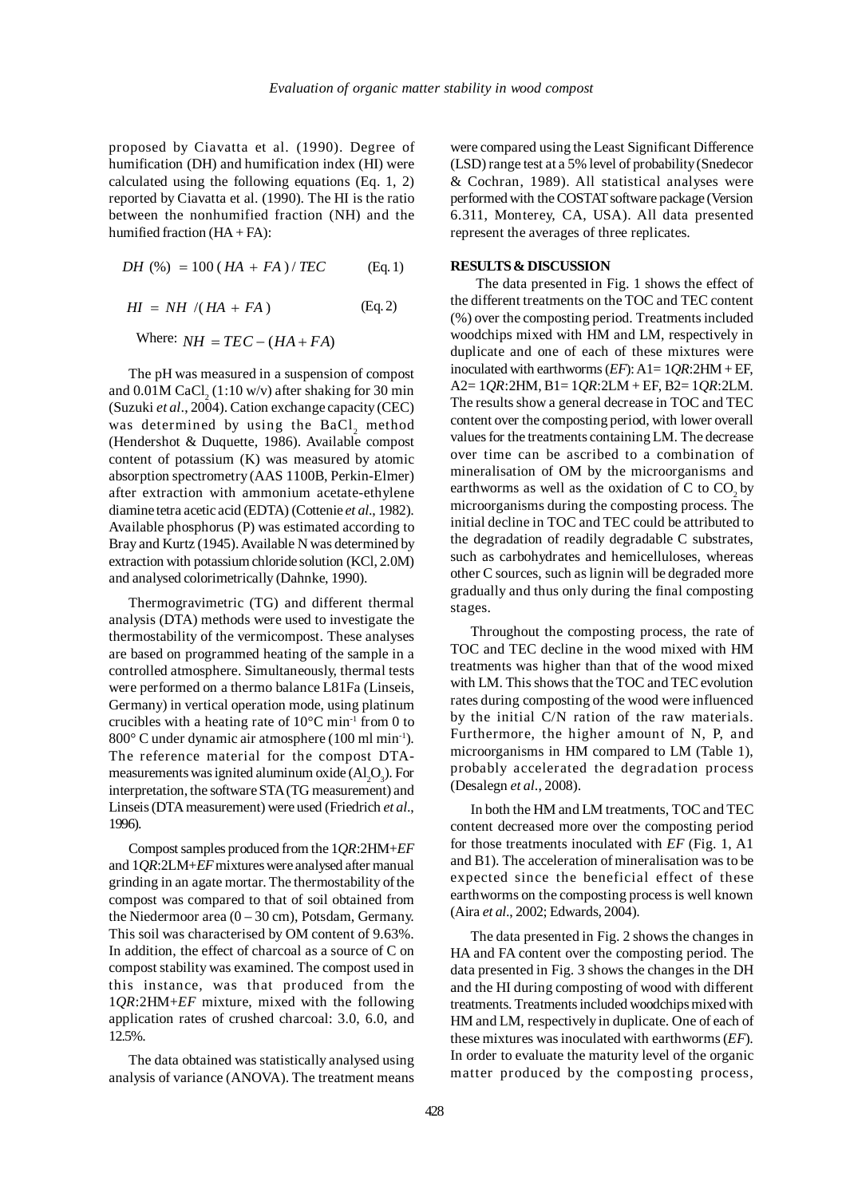proposed by Ciavatta et al. (1990). Degree of humification (DH) and humification index (HI) were calculated using the following equations (Eq. 1, 2) reported by Ciavatta et al. (1990). The HI is the ratio between the nonhumified fraction (NH) and the humified fraction  $(HA + FA)$ :

$$
DH (%) = 100 (HA + FA) / TEC
$$
 (Eq. 1)

$$
HI = NH / (HA + FA)
$$
 (Eq. 2)

Where:  $NH = TEC - (HA + FA)$ 

The pH was measured in a suspension of compost and  $0.01$ M CaCl $_2$  (1:10 w/v) after shaking for 30 min (Suzuki *et al*., 2004). Cation exchange capacity (CEC) was determined by using the BaCl, method (Hendershot & Duquette, 1986). Available compost content of potassium (K) was measured by atomic absorption spectrometry (AAS 1100B, Perkin-Elmer) after extraction with ammonium acetate-ethylene diamine tetra acetic acid (EDTA) (Cottenie *et al*., 1982). Available phosphorus (P) was estimated according to Bray and Kurtz (1945). Available N was determined by extraction with potassium chloride solution (KCl, 2.0M) and analysed colorimetrically (Dahnke, 1990).

Thermogravimetric (TG) and different thermal analysis (DTA) methods were used to investigate the thermostability of the vermicompost. These analyses are based on programmed heating of the sample in a controlled atmosphere. Simultaneously, thermal tests were performed on a thermo balance L81Fa (Linseis, Germany) in vertical operation mode, using platinum crucibles with a heating rate of  $10^{\circ}$ C min<sup>-1</sup> from 0 to 800° C under dynamic air atmosphere (100 ml min-1). The reference material for the compost DTAmeasurements was ignited aluminum oxide  $(Al_2O_3)$ . For interpretation, the software STA (TG measurement) and Linseis (DTA measurement) were used (Friedrich *et al*., 1996).

Compost samples produced from the 1*QR*:2HM+*EF* and 1*QR*:2LM+*EF* mixtures were analysed after manual grinding in an agate mortar. The thermostability of the compost was compared to that of soil obtained from the Niedermoor area  $(0 - 30 \text{ cm})$ , Potsdam, Germany. This soil was characterised by OM content of 9.63%. In addition, the effect of charcoal as a source of C on compost stability was examined. The compost used in this instance, was that produced from the 1*QR*:2HM+*EF* mixture, mixed with the following application rates of crushed charcoal: 3.0, 6.0, and 12.5%.

The data obtained was statistically analysed using analysis of variance (ANOVA). The treatment means

were compared using the Least Significant Difference (LSD) range test at a 5% level of probability (Snedecor & Cochran, 1989). All statistical analyses were performed with the COSTAT software package (Version 6.311, Monterey, CA, USA). All data presented represent the averages of three replicates.

## **RESULTS & DISCUSSION**

The data presented in Fig. 1 shows the effect of the different treatments on the TOC and TEC content (%) over the composting period. Treatments included woodchips mixed with HM and LM, respectively in duplicate and one of each of these mixtures were inoculated with earthworms  $(EF)$ : A1=  $1QR$ :  $2HM + EF$ , A2= 1*QR*:2HM, B1= 1*QR*:2LM + EF, B2= 1*QR*:2LM. The results show a general decrease in TOC and TEC content over the composting period, with lower overall values for the treatments containing LM. The decrease over time can be ascribed to a combination of mineralisation of OM by the microorganisms and earthworms as well as the oxidation of  $C$  to  $CO$ , by microorganisms during the composting process. The initial decline in TOC and TEC could be attributed to the degradation of readily degradable C substrates, such as carbohydrates and hemicelluloses, whereas other C sources, such as lignin will be degraded more gradually and thus only during the final composting stages.

Throughout the composting process, the rate of TOC and TEC decline in the wood mixed with HM treatments was higher than that of the wood mixed with LM. This shows that the TOC and TEC evolution rates during composting of the wood were influenced by the initial C/N ration of the raw materials. Furthermore, the higher amount of N, P, and microorganisms in HM compared to LM (Table 1), probably accelerated the degradation process (Desalegn *et al*., 2008).

In both the HM and LM treatments, TOC and TEC content decreased more over the composting period for those treatments inoculated with *EF* (Fig. 1, A1 and B1). The acceleration of mineralisation was to be expected since the beneficial effect of these earthworms on the composting process is well known (Aira *et al*., 2002; Edwards, 2004).

The data presented in Fig. 2 shows the changes in HA and FA content over the composting period. The data presented in Fig. 3 shows the changes in the DH and the HI during composting of wood with different treatments. Treatments included woodchips mixed with HM and LM, respectively in duplicate. One of each of these mixtures was inoculated with earthworms (*EF*). In order to evaluate the maturity level of the organic matter produced by the composting process,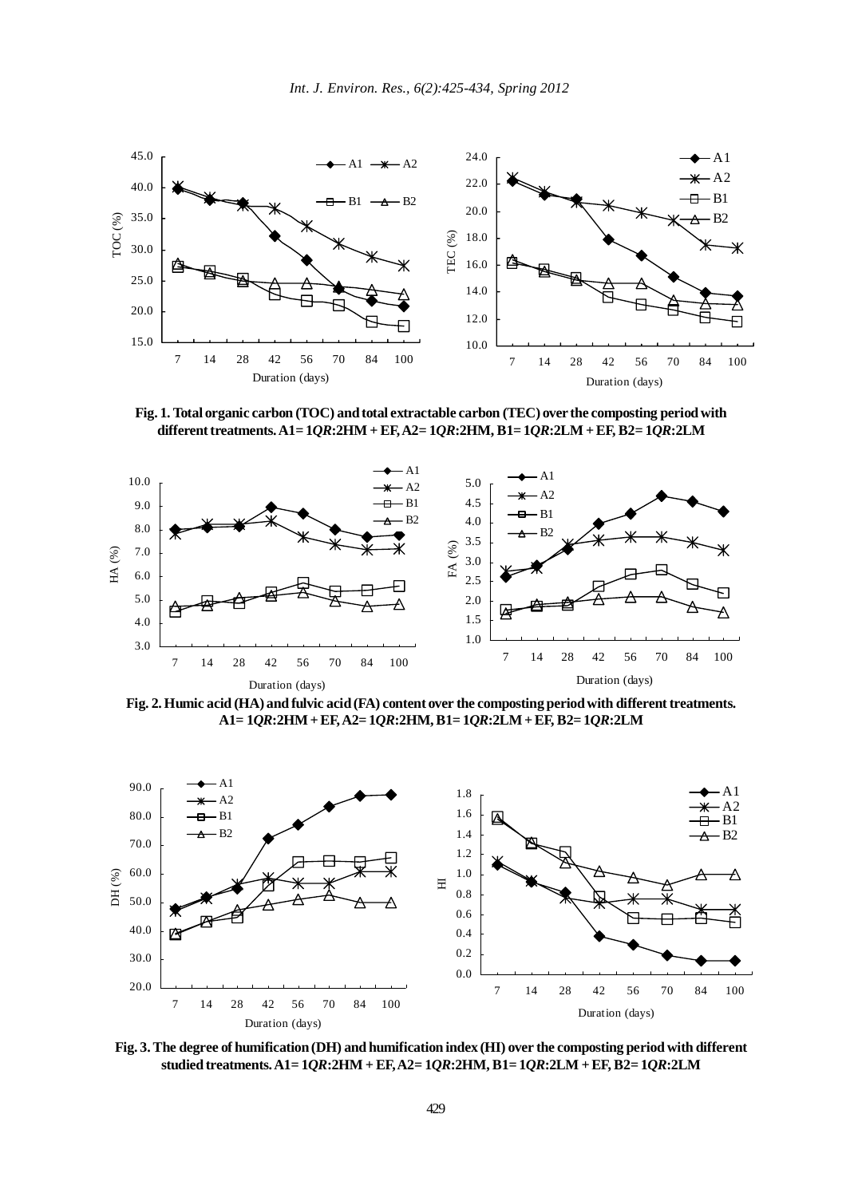

**Fig. 1. Total organic carbon (TOC) and total extractable carbon (TEC) over the composting period with different treatments. A1= 1***QR***:2HM + EF, A2= 1***QR***:2HM, B1= 1***QR***:2LM + EF, B2= 1***QR***:2LM**



**Fig. 2. Humic acid (HA) and fulvic acid (FA) content over the composting period with different treatments. A1= 1***QR***:2HM + EF, A2= 1***QR***:2HM, B1= 1***QR***:2LM + EF, B2= 1***QR***:2LM**



**Fig. 3. The degree of humification (DH) and humification index (HI) over the composting period with different studied treatments. A1= 1***QR***:2HM + EF, A2= 1***QR***:2HM, B1= 1***QR***:2LM + EF, B2= 1***QR***:2LM**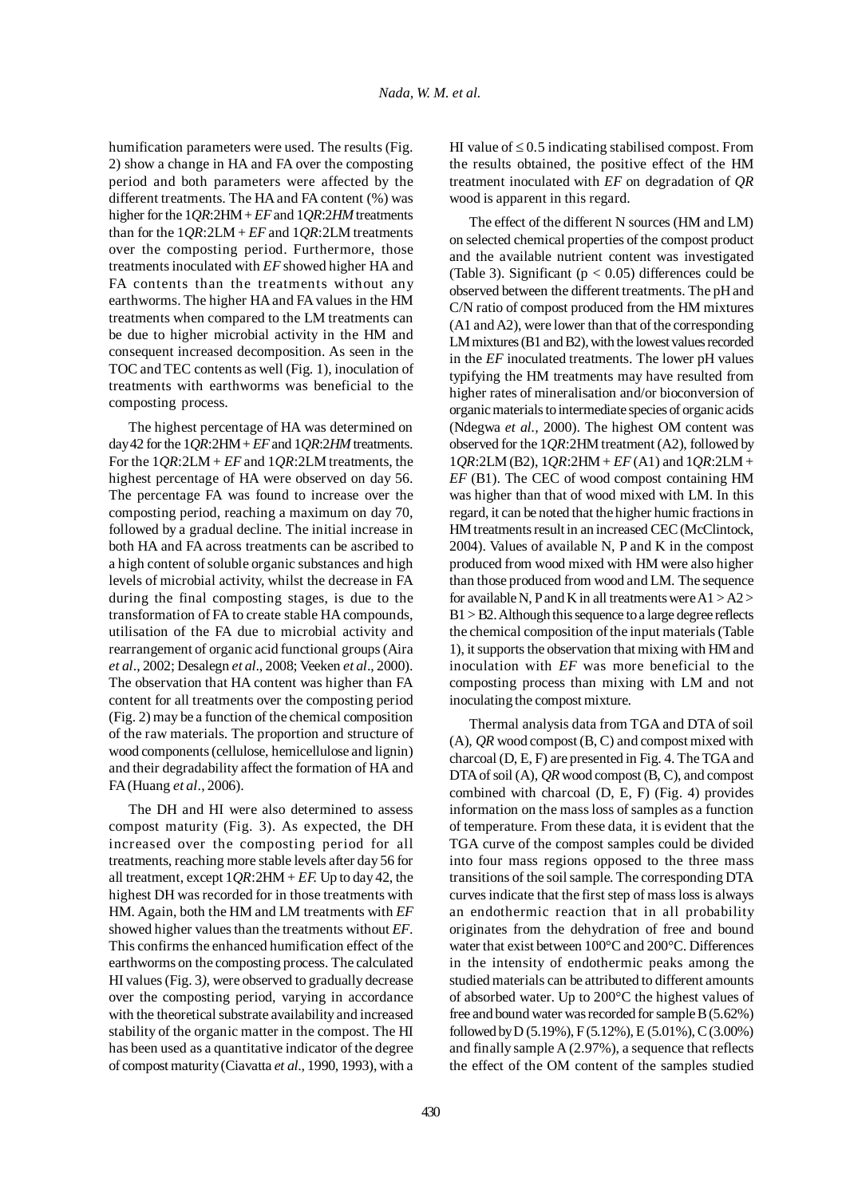humification parameters were used. The results (Fig. 2) show a change in HA and FA over the composting period and both parameters were affected by the different treatments. The HA and FA content (%) was higher for the 1*QR*:2HM + *EF* and 1*QR*:2*HM* treatments than for the 1*QR*:2LM + *EF* and 1*QR*:2LM treatments over the composting period. Furthermore, those treatments inoculated with *EF* showed higher HA and FA contents than the treatments without any earthworms. The higher HA and FA values in the HM treatments when compared to the LM treatments can be due to higher microbial activity in the HM and consequent increased decomposition. As seen in the TOC and TEC contents as well (Fig. 1), inoculation of treatments with earthworms was beneficial to the composting process.

The highest percentage of HA was determined on day 42 for the 1*QR*:2HM + *EF* and 1*QR*:2*HM* treatments. For the 1*QR*:2LM + *EF* and 1*QR*:2LM treatments, the highest percentage of HA were observed on day 56. The percentage FA was found to increase over the composting period, reaching a maximum on day 70, followed by a gradual decline. The initial increase in both HA and FA across treatments can be ascribed to a high content of soluble organic substances and high levels of microbial activity, whilst the decrease in FA during the final composting stages, is due to the transformation of FA to create stable HA compounds, utilisation of the FA due to microbial activity and rearrangement of organic acid functional groups (Aira *et al*., 2002; Desalegn *et al*., 2008; Veeken *et al*., 2000). The observation that HA content was higher than FA content for all treatments over the composting period (Fig. 2) may be a function of the chemical composition of the raw materials. The proportion and structure of wood components (cellulose, hemicellulose and lignin) and their degradability affect the formation of HA and FA (Huang *et al*., 2006).

The DH and HI were also determined to assess compost maturity (Fig. 3). As expected, the DH increased over the composting period for all treatments, reaching more stable levels after day 56 for all treatment, except 1*QR*:2HM + *EF.* Up to day 42, the highest DH was recorded for in those treatments with HM. Again, both the HM and LM treatments with *EF* showed higher values than the treatments without *EF*. This confirms the enhanced humification effect of the earthworms on the composting process. The calculated HI values (Fig. 3*)*, were observed to gradually decrease over the composting period, varying in accordance with the theoretical substrate availability and increased stability of the organic matter in the compost. The HI has been used as a quantitative indicator of the degree of compost maturity (Ciavatta *et al*., 1990, 1993), with a HI value of  $\leq$  0.5 indicating stabilised compost. From the results obtained, the positive effect of the HM treatment inoculated with *EF* on degradation of *QR* wood is apparent in this regard.

The effect of the different N sources (HM and LM) on selected chemical properties of the compost product and the available nutrient content was investigated (Table 3). Significant ( $p < 0.05$ ) differences could be observed between the different treatments. The pH and C/N ratio of compost produced from the HM mixtures (A1 and A2), were lower than that of the corresponding LM mixtures (B1 and B2), with the lowest values recorded in the *EF* inoculated treatments. The lower pH values typifying the HM treatments may have resulted from higher rates of mineralisation and/or bioconversion of organic materials to intermediate species of organic acids (Ndegwa *et al.,* 2000). The highest OM content was observed for the 1*QR*:2HM treatment (A2), followed by 1*QR*:2LM (B2), 1*QR*:2HM + *EF* (A1) and 1*QR*:2LM + *EF* (B1). The CEC of wood compost containing HM was higher than that of wood mixed with LM. In this regard, it can be noted that the higher humic fractions in HM treatments result in an increased CEC (McClintock, 2004). Values of available N, P and K in the compost produced from wood mixed with HM were also higher than those produced from wood and LM. The sequence for available N, P and K in all treatments were  $A1 > A2$ B1 > B2. Although this sequence to a large degree reflects the chemical composition of the input materials (Table 1), it supports the observation that mixing with HM and inoculation with *EF* was more beneficial to the composting process than mixing with LM and not inoculating the compost mixture.

Thermal analysis data from TGA and DTA of soil (A), *QR* wood compost (B, C) and compost mixed with charcoal (D, E, F) are presented in Fig. 4. The TGA and DTA of soil (A), *QR* wood compost (B, C), and compost combined with charcoal (D, E, F) (Fig. 4) provides information on the mass loss of samples as a function of temperature. From these data, it is evident that the TGA curve of the compost samples could be divided into four mass regions opposed to the three mass transitions of the soil sample. The corresponding DTA curves indicate that the first step of mass loss is always an endothermic reaction that in all probability originates from the dehydration of free and bound water that exist between 100°C and 200°C. Differences in the intensity of endothermic peaks among the studied materials can be attributed to different amounts of absorbed water. Up to 200°C the highest values of free and bound water was recorded for sample B (5.62%) followed by D (5.19%), F (5.12%), E (5.01%), C (3.00%) and finally sample A (2.97%), a sequence that reflects the effect of the OM content of the samples studied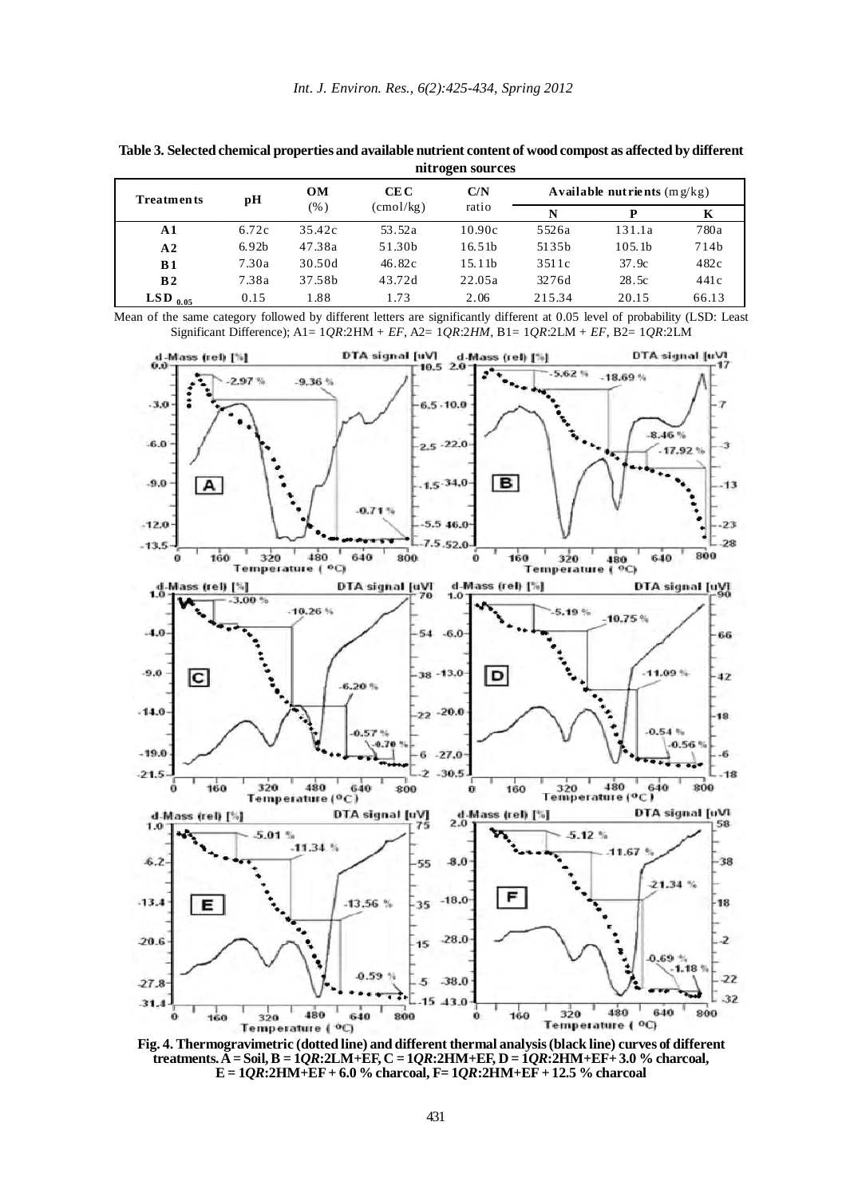| <b>Treatments</b> | OМ<br>рH<br>$(\%)$ | CE C   | C/N                | Available nutrients $(mg/kg)$ |        |                    |       |
|-------------------|--------------------|--------|--------------------|-------------------------------|--------|--------------------|-------|
|                   |                    |        | $\text{(cmol/kg)}$ | ratio                         | N      | D                  | K     |
| $\mathbf{A}$ 1    | 6.72c              | 35.42c | 53.52a             | 10.90c                        | 5526a  | 131.1a             | 780a  |
| A2                | 6.92 <sub>b</sub>  | 47.38a | 51.30b             | 16.51 <sub>b</sub>            | 5135b  | 105.1 <sub>b</sub> | 714b  |
| B <sub>1</sub>    | 7.30a              | 30.50d | 46.82c             | 15.11 <sub>b</sub>            | 3511c  | 37.9c              | 482c  |
| B <sub>2</sub>    | 7.38a              | 37.58b | 43.72d             | 22.05a                        | 3276d  | 28.5c              | 441c  |
| $LSD_{0.05}$      | 0.15               | 1.88   | 1.73               | 2.06                          | 215.34 | 20.15              | 66.13 |

**Table 3. Selected chemical properties and available nutrient content of wood compost as affected by different nitrogen sources**

Mean of the same category followed by different letters are significantly different at 0.05 level of probability (LSD: Least Significant Difference); A1= 1*QR*:2HM + *EF*, A2= 1*QR*:2*HM,* B1= 1*QR*:2LM + *EF*, B2= 1*QR*:2LM



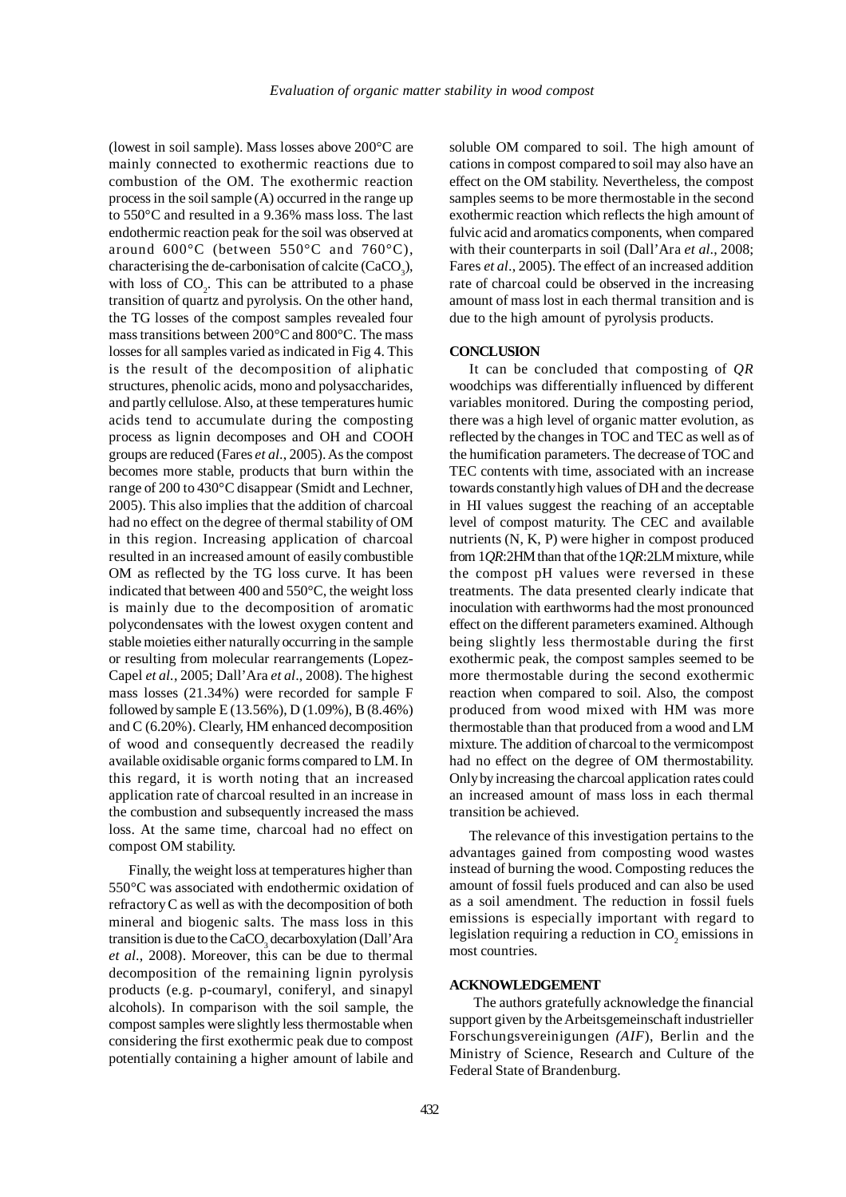(lowest in soil sample). Mass losses above 200°C are mainly connected to exothermic reactions due to combustion of the OM. The exothermic reaction process in the soil sample (A) occurred in the range up to 550°C and resulted in a 9.36% mass loss. The last endothermic reaction peak for the soil was observed at around  $600^{\circ}$ C (between  $550^{\circ}$ C and  $760^{\circ}$ C), characterising the de-carbonisation of calcite  $(CaCO<sub>3</sub>)$ , with loss of  $CO<sub>2</sub>$ . This can be attributed to a phase transition of quartz and pyrolysis. On the other hand, the TG losses of the compost samples revealed four mass transitions between 200°C and 800°C. The mass losses for all samples varied as indicated in Fig 4. This is the result of the decomposition of aliphatic structures, phenolic acids, mono and polysaccharides, and partly cellulose. Also, at these temperatures humic acids tend to accumulate during the composting process as lignin decomposes and OH and COOH groups are reduced (Fares *et al*., 2005). As the compost becomes more stable, products that burn within the range of 200 to 430°C disappear (Smidt and Lechner, 2005). This also implies that the addition of charcoal had no effect on the degree of thermal stability of OM in this region. Increasing application of charcoal resulted in an increased amount of easily combustible OM as reflected by the TG loss curve. It has been indicated that between 400 and 550°C, the weight loss is mainly due to the decomposition of aromatic polycondensates with the lowest oxygen content and stable moieties either naturally occurring in the sample or resulting from molecular rearrangements (Lopez-Capel *et al.*, 2005; Dall'Ara *et al*., 2008). The highest mass losses (21.34%) were recorded for sample F followed by sample E (13.56%), D (1.09%), B (8.46%) and C (6.20%). Clearly, HM enhanced decomposition of wood and consequently decreased the readily available oxidisable organic forms compared to LM. In this regard, it is worth noting that an increased application rate of charcoal resulted in an increase in the combustion and subsequently increased the mass loss. At the same time, charcoal had no effect on compost OM stability.

Finally, the weight loss at temperatures higher than 550°C was associated with endothermic oxidation of refractory C as well as with the decomposition of both mineral and biogenic salts. The mass loss in this transition is due to the  $CaCO<sub>3</sub>$  decarboxylation (Dall'Ara *et al*., 2008). Moreover, this can be due to thermal decomposition of the remaining lignin pyrolysis products (e.g. p-coumaryl, coniferyl, and sinapyl alcohols). In comparison with the soil sample, the compost samples were slightly less thermostable when considering the first exothermic peak due to compost potentially containing a higher amount of labile and soluble OM compared to soil. The high amount of cations in compost compared to soil may also have an effect on the OM stability. Nevertheless, the compost samples seems to be more thermostable in the second exothermic reaction which reflects the high amount of fulvic acid and aromatics components, when compared with their counterparts in soil (Dall'Ara *et al*., 2008; Fares *et al*., 2005). The effect of an increased addition rate of charcoal could be observed in the increasing amount of mass lost in each thermal transition and is due to the high amount of pyrolysis products.

## **CONCLUSION**

It can be concluded that composting of *QR* woodchips was differentially influenced by different variables monitored. During the composting period, there was a high level of organic matter evolution, as reflected by the changes in TOC and TEC as well as of the humification parameters. The decrease of TOC and TEC contents with time, associated with an increase towards constantly high values of DH and the decrease in HI values suggest the reaching of an acceptable level of compost maturity. The CEC and available nutrients (N, K, P) were higher in compost produced from 1*QR*:2HM than that of the 1*QR*:2LM mixture, while the compost pH values were reversed in these treatments. The data presented clearly indicate that inoculation with earthworms had the most pronounced effect on the different parameters examined. Although being slightly less thermostable during the first exothermic peak, the compost samples seemed to be more thermostable during the second exothermic reaction when compared to soil. Also, the compost produced from wood mixed with HM was more thermostable than that produced from a wood and LM mixture. The addition of charcoal to the vermicompost had no effect on the degree of OM thermostability. Only by increasing the charcoal application rates could an increased amount of mass loss in each thermal transition be achieved.

The relevance of this investigation pertains to the advantages gained from composting wood wastes instead of burning the wood. Composting reduces the amount of fossil fuels produced and can also be used as a soil amendment. The reduction in fossil fuels emissions is especially important with regard to legislation requiring a reduction in  $\mathrm{CO}_2$  emissions in most countries.

## **ACKNOWLEDGEMENT**

The authors gratefully acknowledge the financial support given by the Arbeitsgemeinschaft industrieller Forschungsvereinigungen *(AIF*), Berlin and the Ministry of Science, Research and Culture of the Federal State of Brandenburg.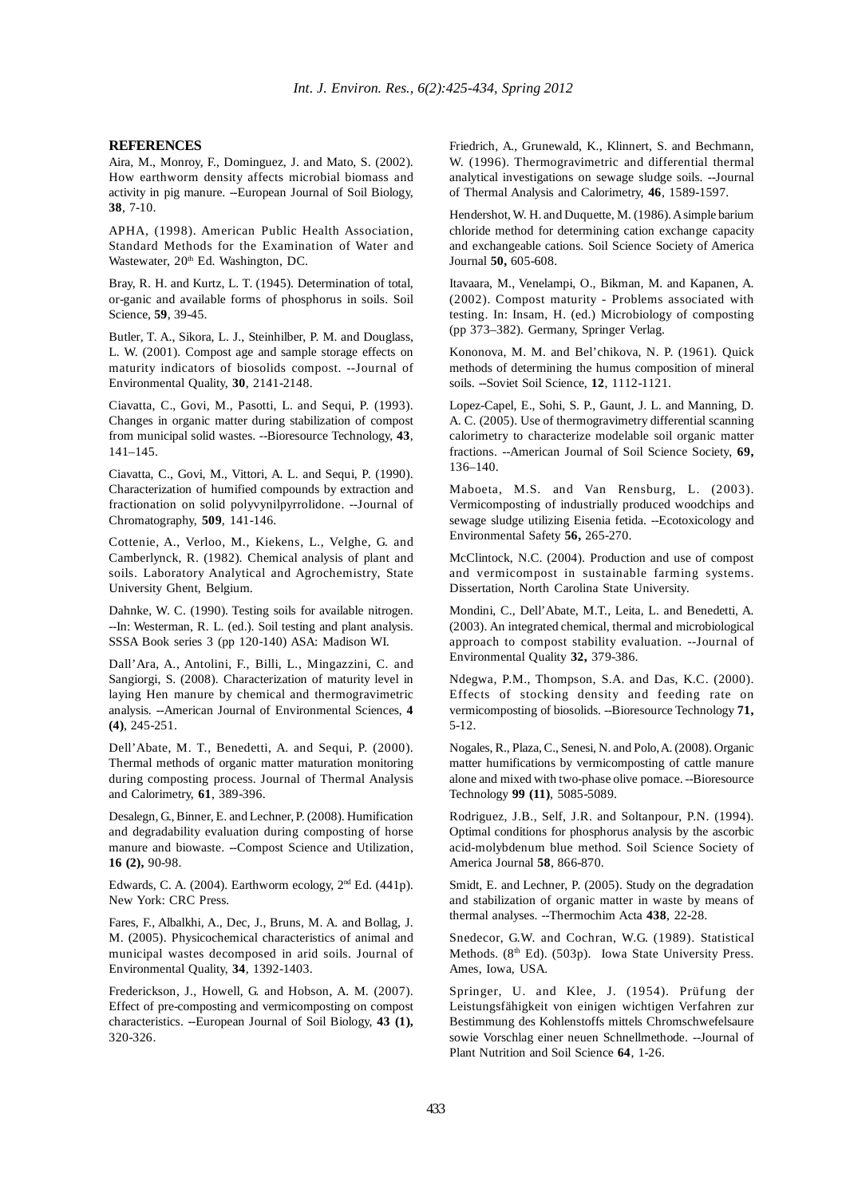#### **REFERENCES**

Aira, M., Monroy, F., Dominguez, J. and Mato, S. (2002). How earthworm density affects microbial biomass and activity in pig manure. --European Journal of Soil Biology, **38**, 7-10.

APHA, (1998). American Public Health Association, Standard Methods for the Examination of Water and Wastewater, 20<sup>th</sup> Ed. Washington, DC.

Bray, R. H. and Kurtz, L. T. (1945). Determination of total, or-ganic and available forms of phosphorus in soils. Soil Science, **59**, 39-45.

Butler, T. A., Sikora, L. J., Steinhilber, P. M. and Douglass, L. W. (2001). Compost age and sample storage effects on maturity indicators of biosolids compost. --Journal of Environmental Quality, **30**, 2141-2148.

Ciavatta, C., Govi, M., Pasotti, L. and Sequi, P. (1993). Changes in organic matter during stabilization of compost from municipal solid wastes. --Bioresource Technology, **43**, 141–145.

Ciavatta, C., Govi, M., Vittori, A. L. and Sequi, P. (1990). Characterization of humified compounds by extraction and fractionation on solid polyvynilpyrrolidone. --Journal of Chromatography, **509**, 141-146.

Cottenie, A., Verloo, M., Kiekens, L., Velghe, G. and Camberlynck, R. (1982). Chemical analysis of plant and soils. Laboratory Analytical and Agrochemistry, State University Ghent, Belgium.

Dahnke, W. C. (1990). Testing soils for available nitrogen. --In: Westerman, R. L. (ed.). Soil testing and plant analysis. SSSA Book series 3 (pp 120-140) ASA: Madison WI.

Dall'Ara, A., Antolini, F., Billi, L., Mingazzini, C. and Sangiorgi, S. (2008). Characterization of maturity level in laying Hen manure by chemical and thermogravimetric analysis. --American Journal of Environmental Sciences, **4 (4)**, 245-251.

Dell'Abate, M. T., Benedetti, A. and Sequi, P. (2000). Thermal methods of organic matter maturation monitoring during composting process. Journal of Thermal Analysis and Calorimetry, **61**, 389-396.

Desalegn, G., Binner, E. and Lechner, P. (2008). Humification and degradability evaluation during composting of horse manure and biowaste. --Compost Science and Utilization, **16 (2),** 90-98.

Edwards, C. A. (2004). Earthworm ecology,  $2<sup>nd</sup>$  Ed. (441p). New York: CRC Press.

Fares, F., Albalkhi, A., Dec, J., Bruns, M. A. and Bollag, J. M. (2005). Physicochemical characteristics of animal and municipal wastes decomposed in arid soils. Journal of Environmental Quality, **34**, 1392-1403.

Frederickson, J., Howell, G. and Hobson, A. M. (2007). Effect of pre-composting and vermicomposting on compost characteristics. --European Journal of Soil Biology, **43 (1),** 320-326.

Friedrich, A., Grunewald, K., Klinnert, S. and Bechmann, W. (1996). Thermogravimetric and differential thermal analytical investigations on sewage sludge soils. --Journal of Thermal Analysis and Calorimetry, **46**, 1589-1597.

Hendershot, W. H. and Duquette, M. (1986). A simple barium chloride method for determining cation exchange capacity and exchangeable cations. Soil Science Society of America Journal **50,** 605-608.

Itavaara, M., Venelampi, O., Bikman, M. and Kapanen, A. (2002). Compost maturity - Problems associated with testing. In: Insam, H. (ed.) Microbiology of composting (pp 373–382). Germany, Springer Verlag.

Kononova, M. M. and Bel'chikova, N. P. (1961). Quick methods of determining the humus composition of mineral soils. --Soviet Soil Science, **12**, 1112-1121.

Lopez-Capel, E., Sohi, S. P., Gaunt, J. L. and Manning, D. A. C. (2005). Use of thermogravimetry differential scanning calorimetry to characterize modelable soil organic matter fractions. --American Journal of Soil Science Society, **69,** 136–140.

Maboeta, M.S. and Van Rensburg, L. (2003). Vermicomposting of industrially produced woodchips and sewage sludge utilizing Eisenia fetida. --Ecotoxicology and Environmental Safety **56,** 265-270.

McClintock, N.C. (2004). Production and use of compost and vermicompost in sustainable farming systems. Dissertation, North Carolina State University.

Mondini, C., Dell'Abate, M.T., Leita, L. and Benedetti, A. (2003). An integrated chemical, thermal and microbiological approach to compost stability evaluation. --Journal of Environmental Quality **32,** 379-386.

Ndegwa, P.M., Thompson, S.A. and Das, K.C. (2000). Effects of stocking density and feeding rate on vermicomposting of biosolids. --Bioresource Technology **71,** 5-12.

Nogales, R., Plaza, C., Senesi, N. and Polo, A. (2008). Organic matter humifications by vermicomposting of cattle manure alone and mixed with two-phase olive pomace. --Bioresource Technology **99 (11)**, 5085-5089.

Rodriguez, J.B., Self, J.R. and Soltanpour, P.N. (1994). Optimal conditions for phosphorus analysis by the ascorbic acid-molybdenum blue method. Soil Science Society of America Journal **58**, 866-870.

Smidt, E. and Lechner, P. (2005). Study on the degradation and stabilization of organic matter in waste by means of thermal analyses. --Thermochim Acta **438**, 22-28.

Snedecor, G.W. and Cochran, W.G. (1989). Statistical Methods.  $(8<sup>th</sup> Ed)$ .  $(503p)$ . Iowa State University Press. Ames, Iowa, USA.

Springer, U. and Klee, J. (1954). Prüfung der Leistungsfähigkeit von einigen wichtigen Verfahren zur Bestimmung des Kohlenstoffs mittels Chromschwefelsaure sowie Vorschlag einer neuen Schnellmethode. --Journal of Plant Nutrition and Soil Science **64**, 1-26.